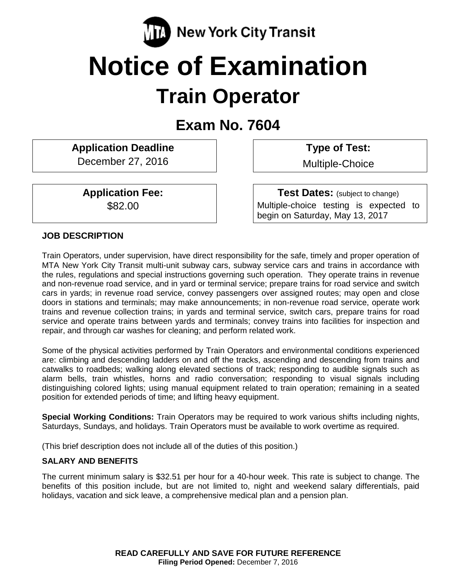

# **Notice of Examination Train Operator**

# **Exam No. 7604**

**Application Deadline** December 27, 2016

**Application Fee:** \$82.00

**Type of Test:** 

Multiple-Choice

**Test Dates:** (subject to change) Multiple-choice testing is expected to begin on Saturday, May 13, 2017

#### **JOB DESCRIPTION**

Train Operators, under supervision, have direct responsibility for the safe, timely and proper operation of MTA New York City Transit multi-unit subway cars, subway service cars and trains in accordance with the rules, regulations and special instructions governing such operation. They operate trains in revenue and non-revenue road service, and in yard or terminal service; prepare trains for road service and switch cars in yards; in revenue road service, convey passengers over assigned routes; may open and close doors in stations and terminals; may make announcements; in non-revenue road service, operate work trains and revenue collection trains; in yards and terminal service, switch cars, prepare trains for road service and operate trains between yards and terminals; convey trains into facilities for inspection and repair, and through car washes for cleaning; and perform related work.

Some of the physical activities performed by Train Operators and environmental conditions experienced are: climbing and descending ladders on and off the tracks, ascending and descending from trains and catwalks to roadbeds; walking along elevated sections of track; responding to audible signals such as alarm bells, train whistles, horns and radio conversation; responding to visual signals including distinguishing colored lights; using manual equipment related to train operation; remaining in a seated position for extended periods of time; and lifting heavy equipment.

**Special Working Conditions:** Train Operators may be required to work various shifts including nights, Saturdays, Sundays, and holidays. Train Operators must be available to work overtime as required.

(This brief description does not include all of the duties of this position.)

#### **SALARY AND BENEFITS**

The current minimum salary is \$32.51 per hour for a 40-hour week. This rate is subject to change. The benefits of this position include, but are not limited to, night and weekend salary differentials, paid holidays, vacation and sick leave, a comprehensive medical plan and a pension plan.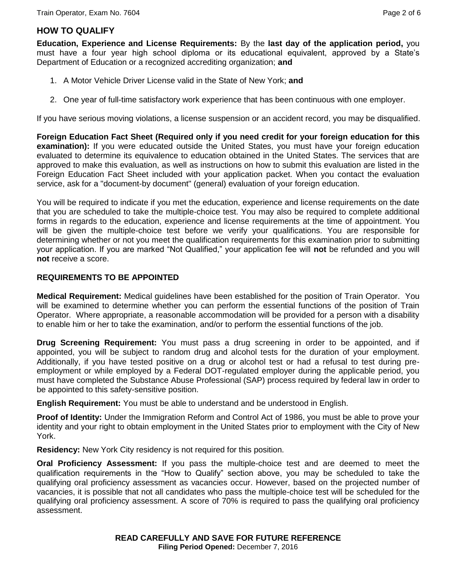### **HOW TO QUALIFY**

**Education, Experience and License Requirements:** By the **last day of the application period,** you must have a four year high school diploma or its educational equivalent, approved by a State's Department of Education or a recognized accrediting organization; **and**

- 1. A Motor Vehicle Driver License valid in the State of New York; **and**
- 2. One year of full-time satisfactory work experience that has been continuous with one employer.

If you have serious moving violations, a license suspension or an accident record, you may be disqualified.

**Foreign Education Fact Sheet (Required only if you need credit for your foreign education for this examination):** If you were educated outside the United States, you must have your foreign education evaluated to determine its equivalence to education obtained in the United States. The services that are approved to make this evaluation, as well as instructions on how to submit this evaluation are listed in the Foreign Education Fact Sheet included with your application packet. When you contact the evaluation service, ask for a "document-by document" (general) evaluation of your foreign education.

You will be required to indicate if you met the education, experience and license requirements on the date that you are scheduled to take the multiple-choice test. You may also be required to complete additional forms in regards to the education, experience and license requirements at the time of appointment. You will be given the multiple-choice test before we verify your qualifications. You are responsible for determining whether or not you meet the qualification requirements for this examination prior to submitting your application. If you are marked "Not Qualified," your application fee will **not** be refunded and you will **not** receive a score.

#### **REQUIREMENTS TO BE APPOINTED**

**Medical Requirement:** Medical guidelines have been established for the position of Train Operator. You will be examined to determine whether you can perform the essential functions of the position of Train Operator. Where appropriate, a reasonable accommodation will be provided for a person with a disability to enable him or her to take the examination, and/or to perform the essential functions of the job.

**Drug Screening Requirement:** You must pass a drug screening in order to be appointed, and if appointed, you will be subject to random drug and alcohol tests for the duration of your employment. Additionally, if you have tested positive on a drug or alcohol test or had a refusal to test during preemployment or while employed by a Federal DOT-regulated employer during the applicable period, you must have completed the Substance Abuse Professional (SAP) process required by federal law in order to be appointed to this safety-sensitive position.

**English Requirement:** You must be able to understand and be understood in English.

**Proof of Identity:** Under the Immigration Reform and Control Act of 1986, you must be able to prove your identity and your right to obtain employment in the United States prior to employment with the City of New York.

**Residency:** New York City residency is not required for this position.

**Oral Proficiency Assessment:** If you pass the multiple-choice test and are deemed to meet the qualification requirements in the "How to Qualify" section above, you may be scheduled to take the qualifying oral proficiency assessment as vacancies occur. However, based on the projected number of vacancies, it is possible that not all candidates who pass the multiple-choice test will be scheduled for the qualifying oral proficiency assessment. A score of 70% is required to pass the qualifying oral proficiency assessment.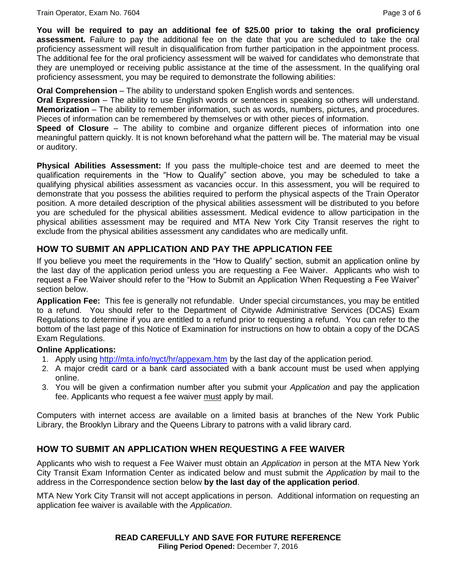**You will be required to pay an additional fee of \$25.00 prior to taking the oral proficiency assessment.** Failure to pay the additional fee on the date that you are scheduled to take the oral proficiency assessment will result in disqualification from further participation in the appointment process. The additional fee for the oral proficiency assessment will be waived for candidates who demonstrate that they are unemployed or receiving public assistance at the time of the assessment. In the qualifying oral proficiency assessment, you may be required to demonstrate the following abilities:

**Oral Comprehension** – The ability to understand spoken English words and sentences.

**Oral Expression** – The ability to use English words or sentences in speaking so others will understand. **Memorization** – The ability to remember information, such as words, numbers, pictures, and procedures. Pieces of information can be remembered by themselves or with other pieces of information.

**Speed of Closure** – The ability to combine and organize different pieces of information into one meaningful pattern quickly. It is not known beforehand what the pattern will be. The material may be visual or auditory.

**Physical Abilities Assessment:** If you pass the multiple-choice test and are deemed to meet the qualification requirements in the "How to Qualify" section above, you may be scheduled to take a qualifying physical abilities assessment as vacancies occur. In this assessment, you will be required to demonstrate that you possess the abilities required to perform the physical aspects of the Train Operator position. A more detailed description of the physical abilities assessment will be distributed to you before you are scheduled for the physical abilities assessment. Medical evidence to allow participation in the physical abilities assessment may be required and MTA New York City Transit reserves the right to exclude from the physical abilities assessment any candidates who are medically unfit.

### **HOW TO SUBMIT AN APPLICATION AND PAY THE APPLICATION FEE**

If you believe you meet the requirements in the "How to Qualify" section, submit an application online by the last day of the application period unless you are requesting a Fee Waiver. Applicants who wish to request a Fee Waiver should refer to the "How to Submit an Application When Requesting a Fee Waiver" section below.

**Application Fee:** This fee is generally not refundable. Under special circumstances, you may be entitled to a refund. You should refer to the Department of Citywide Administrative Services (DCAS) Exam Regulations to determine if you are entitled to a refund prior to requesting a refund. You can refer to the bottom of the last page of this Notice of Examination for instructions on how to obtain a copy of the DCAS Exam Regulations.

#### **Online Applications:**

- 1. Apply using<http://mta.info/nyct/hr/appexam.htm> by the last day of the application period.
- 2. A major credit card or a bank card associated with a bank account must be used when applying online.
- 3. You will be given a confirmation number after you submit your *Application* and pay the application fee. Applicants who request a fee waiver must apply by mail.

Computers with internet access are available on a limited basis at branches of the New York Public Library, the Brooklyn Library and the Queens Library to patrons with a valid library card.

#### **HOW TO SUBMIT AN APPLICATION WHEN REQUESTING A FEE WAIVER**

Applicants who wish to request a Fee Waiver must obtain an *Application* in person at the MTA New York City Transit Exam Information Center as indicated below and must submit the *Application* by mail to the address in the Correspondence section below **by the last day of the application period**.

MTA New York City Transit will not accept applications in person. Additional information on requesting an application fee waiver is available with the *Application*.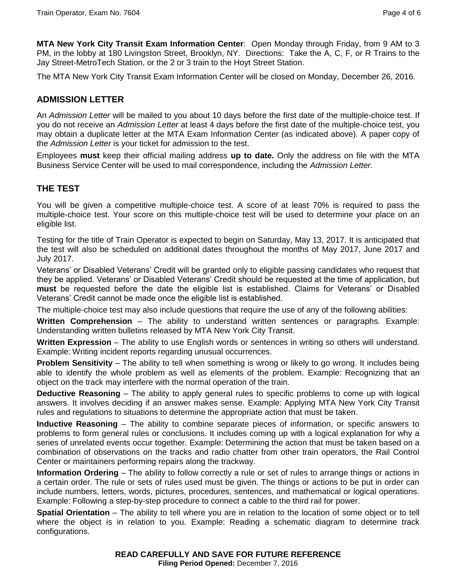**MTA New York City Transit Exam Information Center**: Open Monday through Friday, from 9 AM to 3 PM, in the lobby at 180 Livingston Street, Brooklyn, NY. Directions: Take the A, C, F, or R Trains to the Jay Street-MetroTech Station, or the 2 or 3 train to the Hoyt Street Station.

The MTA New York City Transit Exam Information Center will be closed on Monday, December 26, 2016.

### **ADMISSION LETTER**

An *Admission Letter* will be mailed to you about 10 days before the first date of the multiple-choice test. If you do not receive an *Admission Letter* at least 4 days before the first date of the multiple-choice test, you may obtain a duplicate letter at the MTA Exam Information Center (as indicated above). A paper copy of the *Admission Letter* is your ticket for admission to the test.

Employees **must** keep their official mailing address **up to date.** Only the address on file with the MTA Business Service Center will be used to mail correspondence, including the *Admission Letter.*

### **THE TEST**

You will be given a competitive multiple-choice test. A score of at least 70% is required to pass the multiple-choice test. Your score on this multiple-choice test will be used to determine your place on an eligible list.

Testing for the title of Train Operator is expected to begin on Saturday, May 13, 2017. It is anticipated that the test will also be scheduled on additional dates throughout the months of May 2017, June 2017 and July 2017.

Veterans' or Disabled Veterans' Credit will be granted only to eligible passing candidates who request that they be applied. Veterans' or Disabled Veterans' Credit should be requested at the time of application, but **must** be requested before the date the eligible list is established. Claims for Veterans' or Disabled Veterans' Credit cannot be made once the eligible list is established.

The multiple-choice test may also include questions that require the use of any of the following abilities:

**Written Comprehension** – The ability to understand written sentences or paragraphs. Example: Understanding written bulletins released by MTA New York City Transit.

**Written Expression** – The ability to use English words or sentences in writing so others will understand. Example: Writing incident reports regarding unusual occurrences.

**Problem Sensitivity** – The ability to tell when something is wrong or likely to go wrong. It includes being able to identify the whole problem as well as elements of the problem. Example: Recognizing that an object on the track may interfere with the normal operation of the train.

**Deductive Reasoning** – The ability to apply general rules to specific problems to come up with logical answers. It involves deciding if an answer makes sense. Example: Applying MTA New York City Transit rules and regulations to situations to determine the appropriate action that must be taken.

**Inductive Reasoning** – The ability to combine separate pieces of information, or specific answers to problems to form general rules or conclusions. It includes coming up with a logical explanation for why a series of unrelated events occur together. Example: Determining the action that must be taken based on a combination of observations on the tracks and radio chatter from other train operators, the Rail Control Center or maintainers performing repairs along the trackway.

**Information Ordering** – The ability to follow correctly a rule or set of rules to arrange things or actions in a certain order. The rule or sets of rules used must be given. The things or actions to be put in order can include numbers, letters, words, pictures, procedures, sentences, and mathematical or logical operations. Example: Following a step-by-step procedure to connect a cable to the third rail for power.

**Spatial Orientation** – The ability to tell where you are in relation to the location of some object or to tell where the object is in relation to you. Example: Reading a schematic diagram to determine track configurations.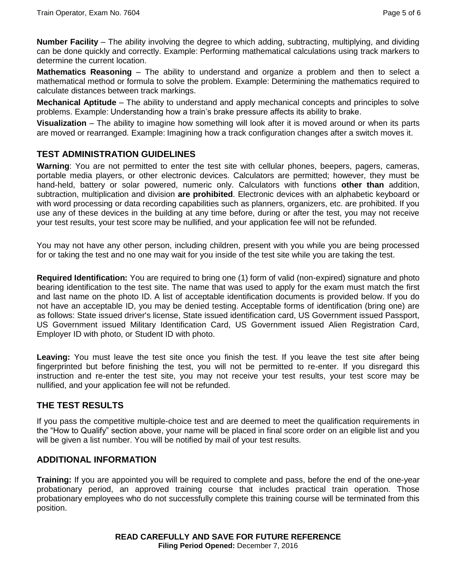**Number Facility** – The ability involving the degree to which adding, subtracting, multiplying, and dividing can be done quickly and correctly. Example: Performing mathematical calculations using track markers to determine the current location.

**Mathematics Reasoning** – The ability to understand and organize a problem and then to select a mathematical method or formula to solve the problem. Example: Determining the mathematics required to calculate distances between track markings.

**Mechanical Aptitude** – The ability to understand and apply mechanical concepts and principles to solve problems. Example: Understanding how a train's brake pressure affects its ability to brake.

**Visualization** – The ability to imagine how something will look after it is moved around or when its parts are moved or rearranged. Example: Imagining how a track configuration changes after a switch moves it.

### **TEST ADMINISTRATION GUIDELINES**

**Warning**: You are not permitted to enter the test site with cellular phones, beepers, pagers, cameras, portable media players, or other electronic devices. Calculators are permitted; however, they must be hand-held, battery or solar powered, numeric only. Calculators with functions **other than** addition, subtraction, multiplication and division **are prohibited**. Electronic devices with an alphabetic keyboard or with word processing or data recording capabilities such as planners, organizers, etc. are prohibited. If you use any of these devices in the building at any time before, during or after the test, you may not receive your test results, your test score may be nullified, and your application fee will not be refunded.

You may not have any other person, including children, present with you while you are being processed for or taking the test and no one may wait for you inside of the test site while you are taking the test.

**Required Identification:** You are required to bring one (1) form of valid (non-expired) signature and photo bearing identification to the test site. The name that was used to apply for the exam must match the first and last name on the photo ID. A list of acceptable identification documents is provided below. If you do not have an acceptable ID, you may be denied testing. Acceptable forms of identification (bring one) are as follows: State issued driver's license, State issued identification card, US Government issued Passport, US Government issued Military Identification Card, US Government issued Alien Registration Card, Employer ID with photo, or Student ID with photo.

**Leaving:** You must leave the test site once you finish the test. If you leave the test site after being fingerprinted but before finishing the test, you will not be permitted to re-enter. If you disregard this instruction and re-enter the test site, you may not receive your test results, your test score may be nullified, and your application fee will not be refunded.

#### **THE TEST RESULTS**

If you pass the competitive multiple-choice test and are deemed to meet the qualification requirements in the "How to Qualify" section above, your name will be placed in final score order on an eligible list and you will be given a list number. You will be notified by mail of your test results.

#### **ADDITIONAL INFORMATION**

**Training:** If you are appointed you will be required to complete and pass, before the end of the one-year probationary period, an approved training course that includes practical train operation. Those probationary employees who do not successfully complete this training course will be terminated from this position.